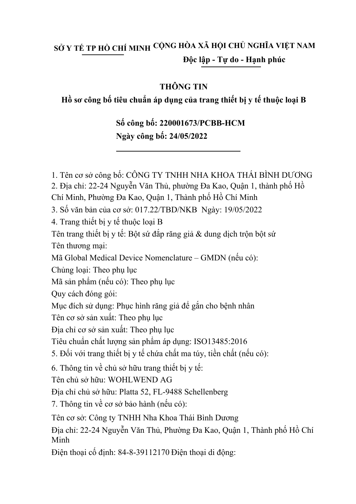## SỞ Y TẾ TP HỒ CHÍ MINH <sup>CỘNG</sup> HOA XÃ HỘI CHỦ NGHĨA VIỆT NAM **Độc lập - Tự do - Hạnh phúc**

#### **THÔNG TIN**

### **Hồ sơ công bố tiêu chuẩn áp dụng của trang thiết bị y tế thuộc loại B**

## **Số công bố: 220001673/PCBB-HCM Ngày công bố: 24/05/2022**

1. Tên cơ sở công bố: CÔNG TY TNHH NHA KHOA THÁI BÌNH DƯƠNG 3. Số văn bản của cơ sở: 017.22/TBD/NKB Ngày: 19/05/2022 2. Địa chỉ: 22-24 Nguyễn Văn Thủ, phường Đa Kao, Quận 1, thành phố Hồ Chí Minh, Phường Đa Kao, Quận 1, Thành phố Hồ Chí Minh Tên trang thiết bị y tế: Bột sứ đắp răng giả & dung dịch trộn bột sứ Mã sản phẩm (nếu có): Theo phụ lục Tên cơ sở sản xuất: Theo phụ lục Địa chỉ cơ sở sản xuất: Theo phụ lục Tiêu chuẩn chất lượng sản phẩm áp dụng: ISO13485:2016 Tên chủ sở hữu: WOHLWEND AG Địa chỉ chủ sở hữu: Platta 52, FL-9488 Schellenberg 4. Trang thiết bị y tế thuộc loại B Tên thương mại: Mã Global Medical Device Nomenclature – GMDN (nếu có): Chủng loại: Theo phụ lục Quy cách đóng gói: Mục đích sử dụng: Phục hình răng giả để gắn cho bệnh nhân 5. Đối với trang thiết bị y tế chứa chất ma túy, tiền chất (nếu có): 6. Thông tin về chủ sở hữu trang thiết bị y tế: 7. Thông tin về cơ sở bảo hành (nếu có): Điện thoại cố định: 84-8-39112170 Điện thoại di động: Địa chỉ: 22-24 Nguyễn Văn Thủ, Phường Đa Kao, Quận 1, Thành phố Hồ Chí Minh Tên cơ sở: Công ty TNHH Nha Khoa Thái Bình Dương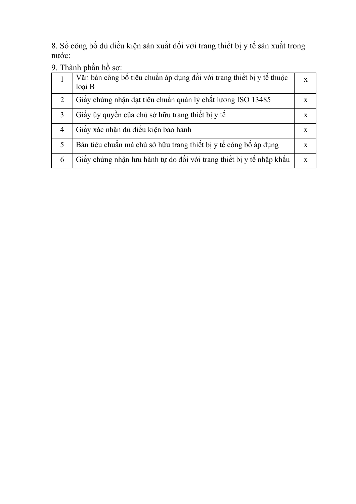8. Số công bố đủ điều kiện sản xuất đối với trang thiết bị y tế sản xuất trong nước:

9. Thành phần hồ sơ:

|                             | Văn bản công bố tiêu chuẩn áp dụng đối với trang thiết bị y tế thuộc<br>loai B | X            |
|-----------------------------|--------------------------------------------------------------------------------|--------------|
| $\mathcal{D}_{\mathcal{L}}$ | Giấy chứng nhận đạt tiêu chuẩn quản lý chất lượng ISO 13485                    | X            |
| 3                           | Giấy ủy quyền của chủ sở hữu trang thiết bị y tế                               | $\mathbf{X}$ |
| 4                           | Giấy xác nhận đủ điều kiện bảo hành                                            | X            |
| 5                           | Bản tiêu chuẩn mà chủ sở hữu trang thiết bị y tế công bố áp dụng               | $\mathbf{x}$ |
| 6                           | Giấy chứng nhận lưu hành tự do đối với trang thiết bị y tế nhập khẩu           | X            |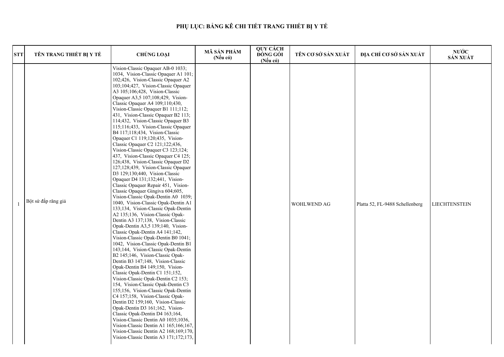| <b>STT</b> | TÊN TRANG THIẾT BỊ Y TẾ | <b>CHỦNG LOẠI</b>                                                                                                                                                                                                                                                                                                                                                                                                                                                                                                                                                                                                                                                                                                                                                                                                                                                                                                                                                                                                                                                                                                                                                                                                                                                                                                                                                                                                                                                                                                                                                                                                                                                                                                                                                                                                          | MÃ SẢN PHẨM<br>$(N\acute{e}u\ c\acute{o})$ | QUY CÁCH<br><b>ĐÓNG GÓI</b><br>$(N\acute{e}u\;c\acute{o})$ | TÊN CƠ SỞ SẢN XUẤT | ĐỊA CHỈ CƠ SỞ SẢN XUẤT          | NƯỚC<br>SẢN XUẤT     |
|------------|-------------------------|----------------------------------------------------------------------------------------------------------------------------------------------------------------------------------------------------------------------------------------------------------------------------------------------------------------------------------------------------------------------------------------------------------------------------------------------------------------------------------------------------------------------------------------------------------------------------------------------------------------------------------------------------------------------------------------------------------------------------------------------------------------------------------------------------------------------------------------------------------------------------------------------------------------------------------------------------------------------------------------------------------------------------------------------------------------------------------------------------------------------------------------------------------------------------------------------------------------------------------------------------------------------------------------------------------------------------------------------------------------------------------------------------------------------------------------------------------------------------------------------------------------------------------------------------------------------------------------------------------------------------------------------------------------------------------------------------------------------------------------------------------------------------------------------------------------------------|--------------------------------------------|------------------------------------------------------------|--------------------|---------------------------------|----------------------|
|            | Bột sứ đắp răng giả     | Vision-Classic Opaquer AB-0 1033;<br>1034, Vision-Classic Opaquer A1 101;<br>102;426, Vision-Classic Opaquer A2<br>103;104;427, Vision-Classic Opaquer<br>A3 105;106;428, Vision-Classic<br>Opaquer A3,5 107;108;429, Vision-<br>Classic Opaquer A4 109;110;430,<br>Vision-Classic Opaquer B1 111;112;<br>431, Vision-Classic Opaquer B2 113;<br>114;432, Vision-Classic Opaquer B3<br>115;116;433, Vision-Classic Opaquer<br>B4 117;118;434, Vision-Classic<br>Opaquer C1 119;120;435, Vision-<br>Classic Opaquer C2 121;122;436,<br>Vision-Classic Opaquer C3 123;124;<br>437, Vision-Classic Opaquer C4 125;<br>126;438, Vision-Classic Opaquer D2<br>127;128;439, Vision-Classic Opaquer<br>D3 129;130;440, Vision-Classic<br>Opaquer D4 131;132;441, Vision-<br>Classic Opaquer Repair 451, Vision-<br>Classic Opaquer Gingiva 604;605,<br>Vision-Classic Opak-Dentin A0 1039;<br>1040, Vision-Classic Opak-Dentin A1<br>133;134, Vision-Classic Opak-Dentin<br>A2 135;136, Vision-Classic Opak-<br>Dentin A3 137;138, Vision-Classic<br>Opak-Dentin A3,5 139;140, Vision-<br>Classic Opak-Dentin A4 141;142,<br>Vision-Classic Opak-Dentin B0 1041;<br>1042, Vision-Classic Opak-Dentin B1<br>143;144, Vision-Classic Opak-Dentin<br>B2 145;146, Vision-Classic Opak-<br>Dentin B3 147;148, Vision-Classic<br>Opak-Dentin B4 149;150, Vision-<br>Classic Opak-Dentin C1 151;152,<br>Vision-Classic Opak-Dentin C2 153;<br>154, Vision-Classic Opak-Dentin C3<br>155;156, Vision-Classic Opak-Dentin<br>C4 157;158, Vision-Classic Opak-<br>Dentin D2 159;160, Vision-Classic<br>Opak-Dentin D3 161;162, Vision-<br>Classic Opak-Dentin D4 163;164,<br>Vision-Classic Dentin A0 1035;1036,<br>Vision-Classic Dentin A1 165;166;167,<br>Vision-Classic Dentin A2 168;169;170,<br>Vision-Classic Dentin A3 171;172;173, |                                            |                                                            | <b>WOHLWEND AG</b> | Platta 52, FL-9488 Schellenberg | <b>LIECHTENSTEIN</b> |

| ÅN XUÁT | ĐỊA CHỈ CƠ SỞ SẢN XUẤT          | NƯỚC<br>SẢN XUẤT     |
|---------|---------------------------------|----------------------|
| G       | Platta 52, FL-9488 Schellenberg | <b>LIECHTENSTEIN</b> |

# **PHỤ LỤC: BẢNG KÊ CHI TIẾT TRANG THIẾT BỊ Y TẾ**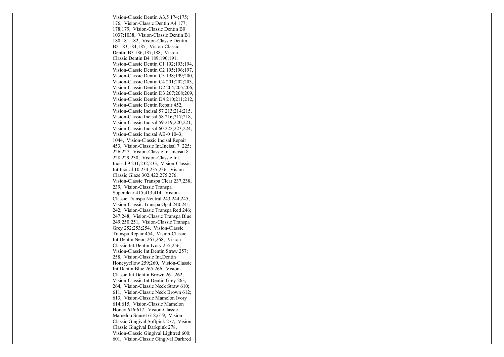Vision-Classic Dentin A3,5 174;175; 176, Vision-Classic Dentin A4 177; 178;179, Vision-Classic Dentin B0 1037;1038, Vision-Classic Dentin B1 180;181;182, Vision-Classic DentinB2 183;184;185, Vision-Classic Dentin B3 186;187;188, Vision-Classic Dentin B4 189;190;191, Vision-Classic Dentin C1 192;193;194, Vision-Classic Dentin C2 195;196;197,Vision-Classic Dentin C3 198;199;200, Vision-Classic Dentin C4 201;202;203, Vision-Classic Dentin D2 204;205;206, Vision-Classic Dentin D3 207;208;209, Vision-Classic Dentin D4 210;211;212,Vision-Classic Dentin Repair 452, Vision-Classic Incisal 57 213;214;215,Vision-Classic Incisal 58 216;217;218, Vision-Classic Incisal 59 219;220;221, Vision-Classic Incisal 60 222;223;224,Vision-Classic Incisal AB-0 1043; 1044, Vision-Classic Incisal Repair 453, Vision-Classic Int.Incisal 7 225; 226;227, Vision-Classic Int.Incisal 8228;229;230, Vision-Classic Int. Incisal 9 231;232;233, Vision-ClassicInt.Incisal 10 234;235;236, Vision-Classic Glaze 302;422;275;276, Vision-Classic Transpa Clear 237;238;239, Vision-Classic Transpa Superclear 415;413;414, Vision-Classic Transpa Neutral 243;244;245, Vision-Classic Transpa Opal 240;241; 242, Vision-Classic Transpa Red 246; 247;248, Vision-Classic Transpa Blue 249;250;251, Vision-Classic TranspaGrey 252;253;254, Vision-Classic Transpa Repair 454, Vision-ClassicInt.Dentin Neon 267;268, Vision-Classic Int.Dentin Ivory 255;256, Vision-Classic Int.Dentin Straw 257;258, Vision-Classic Int.Dentin Honeyyellow 259;260, Vision-ClassicInt.Dentin Blue 265;266, Vision-Classic Int.Dentin Brown 261;262, Vision-Classic Int.Dentin Grey 263; 264, Vision-Classic Neck Straw 610; 611, Vision-Classic Neck Brown 612;613, Vision-Classic Mamelon Ivory 614;615, Vision-Classic MamelonHoney 616;617, Vision-Classic Mamelon Sunset 618;619, Vision-Classic Gingival Softpink 277, Vision-Classic Gingival Darkpink 278, Vision-Classic Gingival Lightred 600;601, Vision-Classic Gingival Darkred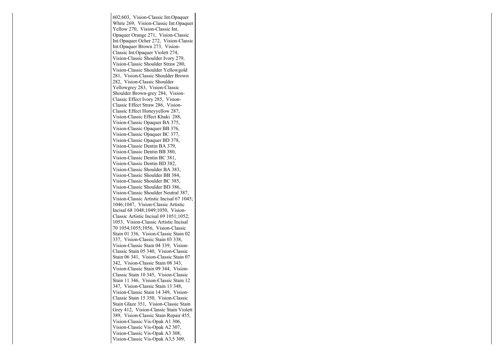602;603, Vision-Classic Int.Opaquer White 269, Vision-Classic Int.OpaquerYellow 270, Vision-Classic Int. Opaquer Orange 271, Vision-Classic Int.Opaquer Ocher 272, Vision-ClassicInt.Opaquer Brown 273, Vision-Classic Int.Opaquer Violett 274, Vision-Classic Shoulder Ivory 279, Vision-Classic Shoulder Straw 280,Vision-Classic Shoulder Yellowgold 281, Vision-Classic Shoulder Brown282, Vision-Classic Shoulder Yellowgrey 283, Vision-Classic Shoulder Brown-grey 284, Vision-Classic Effect Ivory 285, Vision-Classic Effect Straw 286, Vision-Classic Effect Honeyyellow 287,Vision-Classic Effect Khaki 288, Vision-Classic Opaquer BA 375, Vision-Classic Opaquer BB 376, Vision-Classic Opaquer BC 377, Vision-Classic Opaquer BD 378,Vision-Classic Dentin BA 379, Vision-Classic Dentin BB 380, Vision-Classic Dentin BC 381, Vision-Classic Dentin BD 382, Vision-Classic Shoulder BA 383, Vision-Classic Shoulder BB 384, Vision-Classic Shoulder BC 385,Vision-Classic Shoulder BD 386, Vision-Classic Shoulder Neutral 387,Vision-Classic Artistic Incisal 67 1045;1046;1047, Vision-Classic Artistic Incisal 68 1048;1049;1050, Vision-Classic Artistic Incisal 69 1051;1052; 1053, Vision-Classic Artistic Incisal 70 1054;1055;1056, Vision-Classic Stain 01 336, Vision-Classic Stain 02337, Vision-Classic Stain 03 338, Vision-Classic Stain 04 339, Vision-Classic Stain 05 340, Vision-Classic Stain 06 341, Vision-Classic Stain 07342, Vision-Classic Stain 08 343,Vision-Classic Stain 09 344, Vision-Classic Stain 10 345, Vision-Classic Stain 11 346, Vision-Classic Stain 12347, Vision-Classic Stain 13 348,Vision-Classic Stain 14 349, Vision-Classic Stain 15 350, Vision-Classic Stain Glaze 351, Vision-Classic Stain Grey 412, Vision-Classic Stain Violett 389, Vision-Classic Stain Repair 455,Vision-Classic Vis-Opak A1 306, Vision-Classic Vis-Opak A2 307, Vision-Classic Vis-Opak A3 308,Vision-Classic Vis-Opak A3,5 309,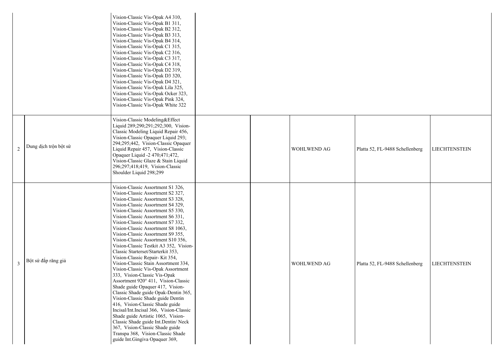|                       | Vision-Classic Vis-Opak A4 310,<br>Vision-Classic Vis-Opak B1 311,<br>Vision-Classic Vis-Opak B2 312,<br>Vision-Classic Vis-Opak B3 313,<br>Vision-Classic Vis-Opak B4 314,<br>Vision-Classic Vis-Opak C1 315,<br>Vision-Classic Vis-Opak C2 316,<br>Vision-Classic Vis-Opak C3 317,<br>Vision-Classic Vis-Opak C4 318,<br>Vision-Classic Vis-Opak D2 319,<br>Vision-Classic Vis-Opak D3 320,<br>Vision-Classic Vis-Opak D4 321,<br>Vision-Classic Vis-Opak Lila 325,<br>Vision-Classic Vis-Opak Ocker 323,<br>Vision-Classic Vis-Opak Pink 324,<br>Vision-Classic Vis-Opak White 322                                                                                                                                                                                                                                                                                                                                                                                                                                                            |  |                    |                                 |                      |
|-----------------------|--------------------------------------------------------------------------------------------------------------------------------------------------------------------------------------------------------------------------------------------------------------------------------------------------------------------------------------------------------------------------------------------------------------------------------------------------------------------------------------------------------------------------------------------------------------------------------------------------------------------------------------------------------------------------------------------------------------------------------------------------------------------------------------------------------------------------------------------------------------------------------------------------------------------------------------------------------------------------------------------------------------------------------------------------|--|--------------------|---------------------------------|----------------------|
| Dung dịch trộn bột sứ | Vision-Classic Modeling&Effect<br>Liquid 289;290;291;292;300, Vision-<br>Classic Modeling Liquid Repair 456,<br>Vision-Classic Opaquer Liquid 293;<br>294;295;442, Vision-Classic Opaquer<br>Liquid Repair 457, Vision-Classic<br>Opaquer Liquid -2 470;471;472,<br>Vision-Classic Glaze & Stain Liquid<br>296;297;418;419, Vision-Classic<br>Shoulder Liquid 298;299                                                                                                                                                                                                                                                                                                                                                                                                                                                                                                                                                                                                                                                                            |  | <b>WOHLWEND AG</b> | Platta 52, FL-9488 Schellenberg | <b>LIECHTENSTEIN</b> |
| Bột sứ đắp răng giả   | Vision-Classic Assortment S1 326,<br>Vision-Classic Assortment S2 327,<br>Vision-Classic Assortment S3 328.<br>Vision-Classic Assortment S4 329,<br>Vision-Classic Assortment S5 330,<br>Vision-Classic Assortment S6 331,<br>Vision-Classic Assortment S7 332,<br>Vision-Classic Assortment S8 1063,<br>Vision-Classic Assortment S9 355,<br>Vision-Classic Assortment S10 356,<br>Vision-Classic Testkit A3 352, Vision-<br>Classic Starterset/Starterkit 353,<br>Vision-Classic Repair-Kit 354,<br>Vision-Classic Stain Assortment 334,<br>Vision-Classic Vis-Opak Assortment<br>333, Vision-Classic Vis-Opak<br>Assortment 920° 411, Vision-Classic<br>Shade guide Opaquer 417, Vision-<br>Classic Shade guide Opak-Dentin 365,<br>Vision-Classic Shade guide Dentin<br>416, Vision-Classic Shade guide<br>Incisal/Int.Incisal 366, Vision-Classic<br>Shade guide Artistic 1065, Vision-<br>Classic Shade guide Int. Dentin/ Neck<br>367, Vision-Classic Shade guide<br>Transpa 368, Vision-Classic Shade<br>guide Int. Gingiva Opaquer 369, |  | <b>WOHLWEND AG</b> | Platta 52, FL-9488 Schellenberg | <b>LIECHTENSTEIN</b> |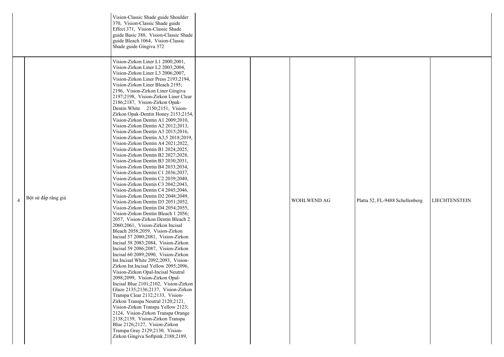|                     | Vision-Classic Shade guide Shoulder<br>370, Vision-Classic Shade guide<br>Effect 371, Vision-Classic Shade<br>guide Basic 388, Vision-Classic Shade<br>guide Bleach 1064, Vision-Classic<br>Shade guide Gingiva 372                                                                                                                                                                                                                                                                                                                                                                                                                                                                                                                                                                                                                                                                                                                                                                                                                                                                                                                                                                                                                                                                                                                                                                                                                                                                                                                                                                                                                                                                                                                                                                                                                                                            |  |                    |              |
|---------------------|--------------------------------------------------------------------------------------------------------------------------------------------------------------------------------------------------------------------------------------------------------------------------------------------------------------------------------------------------------------------------------------------------------------------------------------------------------------------------------------------------------------------------------------------------------------------------------------------------------------------------------------------------------------------------------------------------------------------------------------------------------------------------------------------------------------------------------------------------------------------------------------------------------------------------------------------------------------------------------------------------------------------------------------------------------------------------------------------------------------------------------------------------------------------------------------------------------------------------------------------------------------------------------------------------------------------------------------------------------------------------------------------------------------------------------------------------------------------------------------------------------------------------------------------------------------------------------------------------------------------------------------------------------------------------------------------------------------------------------------------------------------------------------------------------------------------------------------------------------------------------------|--|--------------------|--------------|
| Bột sứ đắp răng giả | Vision-Zirkon Liner L1 2000;2001,<br>Vision-Zirkon Liner L2 2003;2004,<br>Vision-Zirkon Liner L3 2006;2007,<br>Vision-Zirkon Liner Press 2193;2194,<br>Vision-Zirkon Liner Bleach 2195;<br>2196, Vision-Zirkon Liner Gingiva<br>2197;2198, Vision-Zirkon Liner Clear<br>2186;2187, Vision-Zirkon Opak-<br>Dentin White 2150;2151, Vision-<br>Zirkon Opak-Dentin Honey 2153;2154,<br>Vision-Zirkon Dentin A1 2009;2010,<br>Vision-Zirkon Dentin A2 2012;2013,<br>Vision-Zirkon Dentin A3 2015;2016,<br>Vision-Zirkon Dentin A3,5 2018;2019,<br>Vision-Zirkon Dentin A4 2021;2022,<br>Vision-Zirkon Dentin B1 2024;2025,<br>Vision-Zirkon Dentin B2 2027;2028,<br>Vision-Zirkon Dentin B3 2030;2031,<br>Vision-Zirkon Dentin B4 2033;2034,<br>Vision-Zirkon Dentin C1 2036;2037,<br>Vision-Zirkon Dentin C2 2039;2040,<br>Vision-Zirkon Dentin C3 2042;2043,<br>Vision-Zirkon Dentin C4 2045;2046,<br>Vision-Zirkon Dentin D2 2048;2049,<br>Vision-Zirkon Dentin D3 2051;2052,<br>Vision-Zirkon Dentin D4 2054;2055,<br>Vision-Zirkon Dentin Bleach 1 2056;<br>2057, Vision-Zirkon Dentin Bleach 2<br>2060;2061, Vision-Zirkon Incisal<br>Bleach 2058;2059, Vision-Zirkon<br>Incisal 57 2080;2081, Vision-Zirkon<br>Incisal 58 2083;2084, Vision-Zirkon<br>Incisal 59 2086;2087, Vision-Zirkon<br>Incisal 60 2089;2090, Vision-Zirkon<br>Int.Incisal White 2092;2093, Vision-<br>Zirkon Int.Incisal Yellow 2095;2096,<br>Vision-Zirkon Opal-Incisal Neutral<br>2098;2099, Vision-Zirkon Opal-<br>Incisal Blue 2101;2102, Vision-Zirkon<br>Glaze 2135;2136;2137, Vision-Zirkon<br>Transpa Clear 2132;2133, Vision-<br>Zirkon Transpa Neutral 2120;2121,<br>Vision-Zirkon Transpa Yellow 2123;<br>2124, Vision-Zirkon Transpa Orange<br>2138;2139, Vision-Zirkon Transpa<br>Blue 2126;2127, Vision-Zirkon<br>Transpa Gray 2129;2130, Vision-<br>Zirkon Gingiva Softpink 2188;2189, |  | <b>WOHLWEND AG</b> | Platta 52, F |

| WOHLWEND AG | Platta 52, FL-9488 Schellenberg | <b>LIECHTENSTEIN</b> |
|-------------|---------------------------------|----------------------|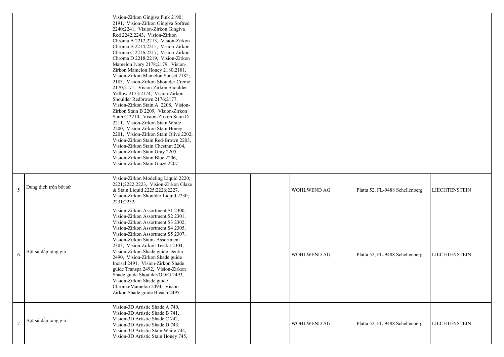|                |                       | Vision-Zirkon Gingiva Pink 2190;<br>2191, Vision-Zirkon Gingiva Softred<br>2240;2241, Vision-Zirkon Gingiva<br>Red 2242;2243, Vision-Zirkon<br>Chroma A 2212;2213, Vision-Zirkon<br>Chroma B 2214;2215, Vision-Zirkon<br>Chroma C 2216;2217, Vision-Zirkon<br>Chroma D 2218;2219, Vision-Zirkon<br>Mamelon Ivory 2178;2179, Vision-<br>Zirkon Mamelon Honey 2180;2181,<br>Vision-Zirkon Mamelon Sunset 2182;<br>2183, Vision-Zirkon Shoulder Creme<br>2170;2171, Vision-Zirkon Shoulder<br>Yellow 2173;2174, Vision-Zirkon<br>Shoulder Redbrown 2176;2177,<br>Vision-Zirkon Stain A 2208, Vision-<br>Zirkon Stain B 2209, Vision-Zirkon<br>Stain C 2210, Vision-Zirkon Stain D<br>2211, Vision-Zirkon Stain White<br>2200, Vision-Zirkon Stain Honey<br>2201, Vision-Zirkon Stain Olive 2202,<br>Vision-Zirkon Stain Red-Brown 2203,<br>Vision-Zirkon Stain Chestnut 2204,<br>Vision-Zirkon Stain Gray 2205,<br>Vision-Zirkon Stain Blue 2206,<br>Vision-Zirkon Stain Glaze 2207 |  |                    |                                 |                      |
|----------------|-----------------------|----------------------------------------------------------------------------------------------------------------------------------------------------------------------------------------------------------------------------------------------------------------------------------------------------------------------------------------------------------------------------------------------------------------------------------------------------------------------------------------------------------------------------------------------------------------------------------------------------------------------------------------------------------------------------------------------------------------------------------------------------------------------------------------------------------------------------------------------------------------------------------------------------------------------------------------------------------------------------------|--|--------------------|---------------------------------|----------------------|
| $\overline{5}$ | Dung dịch trộn bột sứ | Vision-Zirkon Modeling Liquid 2220;<br>2221;2222;2223, Vision-Zirkon Glaze<br>& Stain Liquid 2225;2226;2227,<br>Vision-Zirkon Shoulder Liquid 2230;<br>2231;2232                                                                                                                                                                                                                                                                                                                                                                                                                                                                                                                                                                                                                                                                                                                                                                                                                 |  | <b>WOHLWEND AG</b> | Platta 52, FL-9488 Schellenberg | <b>LIECHTENSTEIN</b> |
| 6              | Bột sứ đắp răng giả   | Vision-Zirkon Assortment S1 2300,<br>Vision-Zirkon Assortment S2 2301,<br>Vision-Zirkon Assortment S3 2302,<br>Vision-Zirkon Assortment S4 2305,<br>Vision-Zirkon Assortment S5 2307,<br>Vision-Zirkon Stain-Assortment<br>2303, Vision-Zirkon Testkit 2304,<br>Vision-Zirkon Shade guide Dentin<br>2490, Vision-Zirkon Shade guide<br>Incisal 2491, Vision-Zirkon Shade<br>guide Transpa 2492, Vision-Zirkon<br>Shade guide Shoulder/OD/G 2493,<br>Vision-Zirkon Shade guide<br>Chroma/Mamelon 2494, Vision-<br>Zirkon Shade guide Bleach 2495                                                                                                                                                                                                                                                                                                                                                                                                                                  |  | <b>WOHLWEND AG</b> | Platta 52, FL-9488 Schellenberg | <b>LIECHTENSTEIN</b> |
|                | Bột sứ đắp răng giả   | Vision-3D Artistic Shade A 740,<br>Vision-3D Artistic Shade B 741,<br>Vision-3D Artistic Shade C 742,<br>Vision-3D Artistic Shade D 743,<br>Vision-3D Artistic Stain White 744,<br>Vision-3D Artistic Stain Honey 745,                                                                                                                                                                                                                                                                                                                                                                                                                                                                                                                                                                                                                                                                                                                                                           |  | <b>WOHLWEND AG</b> | Platta 52, FL-9488 Schellenberg | <b>LIECHTENSTEIN</b> |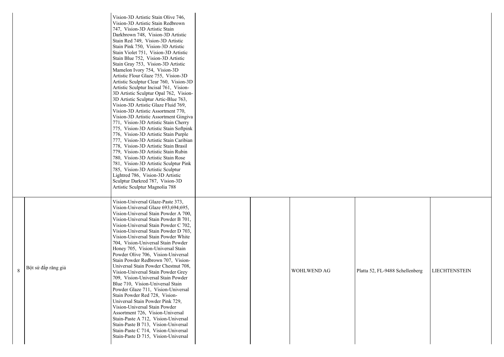|   |                     | Vision-3D Artistic Stain Olive 746,<br>Vision-3D Artistic Stain Redbrown<br>747, Vision-3D Artistic Stain<br>Darkbrown 748, Vision-3D Artistic<br>Stain Red 749, Vision-3D Artistic<br>Stain Pink 750, Vision-3D Artistic<br>Stain Violet 751, Vision-3D Artistic<br>Stain Blue 752, Vision-3D Artistic<br>Stain Gray 753, Vision-3D Artistic<br>Mamelon Ivory 754, Vision-3D<br>Artistic Flour Glaze 755, Vision-3D<br>Artistic Sculptur Clear 760, Vision-3D<br>Artistic Sculptur Incisal 761, Vision-<br>3D Artistic Sculptur Opal 762, Vision-<br>3D Artistic Sculptur Artic-Blue 763,<br>Vision-3D Artistic Glaze Fluid 769,<br>Vision-3D Artistic Assortment 770,<br>Vision-3D Artistic Assortment Gingiva<br>771, Vision-3D Artistic Stain Cherry<br>775, Vision-3D Artistic Stain Softpink<br>776, Vision-3D Artistic Stain Purple<br>777, Vision-3D Artistic Stain Caribian<br>778, Vision-3D Artistic Stain Brasil<br>779, Vision-3D Artistic Stain Rubin<br>780, Vision-3D Artistic Stain Rose<br>781, Vision-3D Artistic Sculptur Pink<br>785, Vision-3D Artistic Sculptur<br>Lightred 786, Vision-3D Artistic<br>Sculptur Darkred 787, Vision-3D<br>Artistic Sculptur Magnolia 788 |  |                    |              |
|---|---------------------|-------------------------------------------------------------------------------------------------------------------------------------------------------------------------------------------------------------------------------------------------------------------------------------------------------------------------------------------------------------------------------------------------------------------------------------------------------------------------------------------------------------------------------------------------------------------------------------------------------------------------------------------------------------------------------------------------------------------------------------------------------------------------------------------------------------------------------------------------------------------------------------------------------------------------------------------------------------------------------------------------------------------------------------------------------------------------------------------------------------------------------------------------------------------------------------------------|--|--------------------|--------------|
| 8 | Bột sứ đắp răng giả | Vision-Universal Glaze-Paste 373,<br>Vision-Universal Glaze 693;694;695,<br>Vision-Universal Stain Powder A 700,<br>Vision-Universal Stain Powder B 701,<br>Vision-Universal Stain Powder C 702,<br>Vision-Universal Stain Powder D 703,<br>Vision-Universal Stain Powder White<br>704, Vision-Universal Stain Powder<br>Honey 705, Vision-Universal Stain<br>Powder Olive 706, Vision-Universal<br>Stain Powder Redbrown 707, Vision-<br>Universal Stain Powder Chestnut 708,<br>Vision-Universal Stain Powder Grey<br>709, Vision-Universal Stain Powder<br>Blue 710, Vision-Universal Stain<br>Powder Glaze 711, Vision-Universal<br>Stain Powder Red 728, Vision-<br>Universal Stain Powder Pink 729,<br>Vision-Universal Stain Powder<br>Assortment 726, Vision-Universal<br>Stain-Paste A 712, Vision-Universal<br>Stain-Paste B 713, Vision-Universal<br>Stain-Paste C 714, Vision-Universal<br>Stain-Paste D 715, Vision-Universal                                                                                                                                                                                                                                                      |  | <b>WOHLWEND AG</b> | Platta 52, F |

## FL-9488 Schellenberg | LIECHTENSTEIN